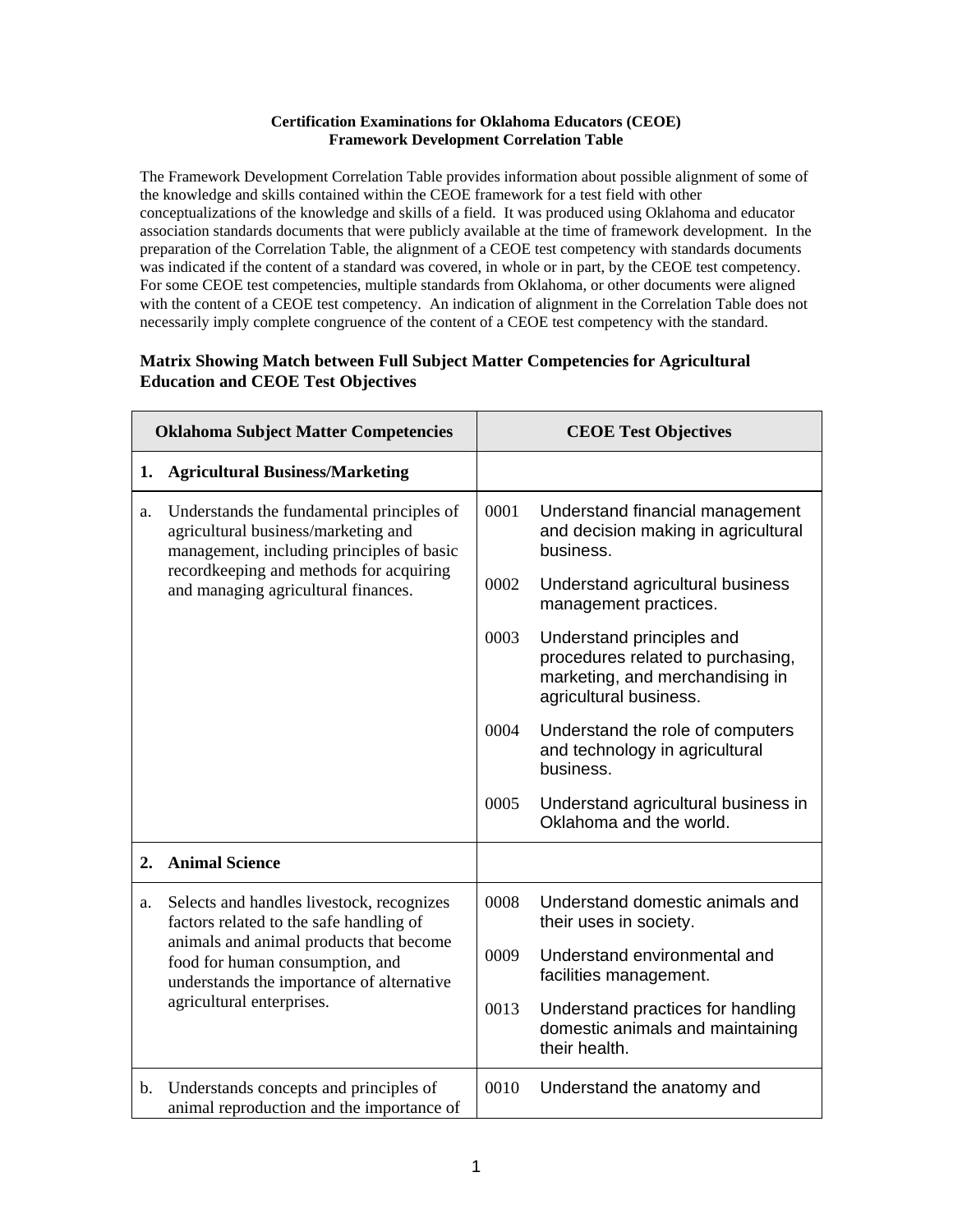## **Certification Examinations for Oklahoma Educators (CEOE) Framework Development Correlation Table**

The Framework Development Correlation Table provides information about possible alignment of some of the knowledge and skills contained within the CEOE framework for a test field with other conceptualizations of the knowledge and skills of a field. It was produced using Oklahoma and educator association standards documents that were publicly available at the time of framework development. In the preparation of the Correlation Table, the alignment of a CEOE test competency with standards documents was indicated if the content of a standard was covered, in whole or in part, by the CEOE test competency. For some CEOE test competencies, multiple standards from Oklahoma, or other documents were aligned with the content of a CEOE test competency. An indication of alignment in the Correlation Table does not necessarily imply complete congruence of the content of a CEOE test competency with the standard.

## **Matrix Showing Match between Full Subject Matter Competencies for Agricultural Education and CEOE Test Objectives**

| <b>Oklahoma Subject Matter Competencies</b> |                                                                                                                                                                                                                                              | <b>CEOE Test Objectives</b> |                                                                                                                             |
|---------------------------------------------|----------------------------------------------------------------------------------------------------------------------------------------------------------------------------------------------------------------------------------------------|-----------------------------|-----------------------------------------------------------------------------------------------------------------------------|
| 1.                                          | <b>Agricultural Business/Marketing</b>                                                                                                                                                                                                       |                             |                                                                                                                             |
| a.                                          | Understands the fundamental principles of<br>agricultural business/marketing and<br>management, including principles of basic<br>recordkeeping and methods for acquiring<br>and managing agricultural finances.                              | 0001                        | Understand financial management<br>and decision making in agricultural<br>business.                                         |
|                                             |                                                                                                                                                                                                                                              | 0002                        | Understand agricultural business<br>management practices.                                                                   |
|                                             |                                                                                                                                                                                                                                              | 0003                        | Understand principles and<br>procedures related to purchasing,<br>marketing, and merchandising in<br>agricultural business. |
|                                             |                                                                                                                                                                                                                                              | 0004                        | Understand the role of computers<br>and technology in agricultural<br>business.                                             |
|                                             |                                                                                                                                                                                                                                              | 0005                        | Understand agricultural business in<br>Oklahoma and the world.                                                              |
| 2.                                          | <b>Animal Science</b>                                                                                                                                                                                                                        |                             |                                                                                                                             |
| a.                                          | Selects and handles livestock, recognizes<br>factors related to the safe handling of<br>animals and animal products that become<br>food for human consumption, and<br>understands the importance of alternative<br>agricultural enterprises. | 0008                        | Understand domestic animals and<br>their uses in society.                                                                   |
|                                             |                                                                                                                                                                                                                                              | 0009                        | Understand environmental and<br>facilities management.                                                                      |
|                                             |                                                                                                                                                                                                                                              | 0013                        | Understand practices for handling<br>domestic animals and maintaining<br>their health.                                      |
| $\mathbf{b}$ .                              | Understands concepts and principles of<br>animal reproduction and the importance of                                                                                                                                                          | 0010                        | Understand the anatomy and                                                                                                  |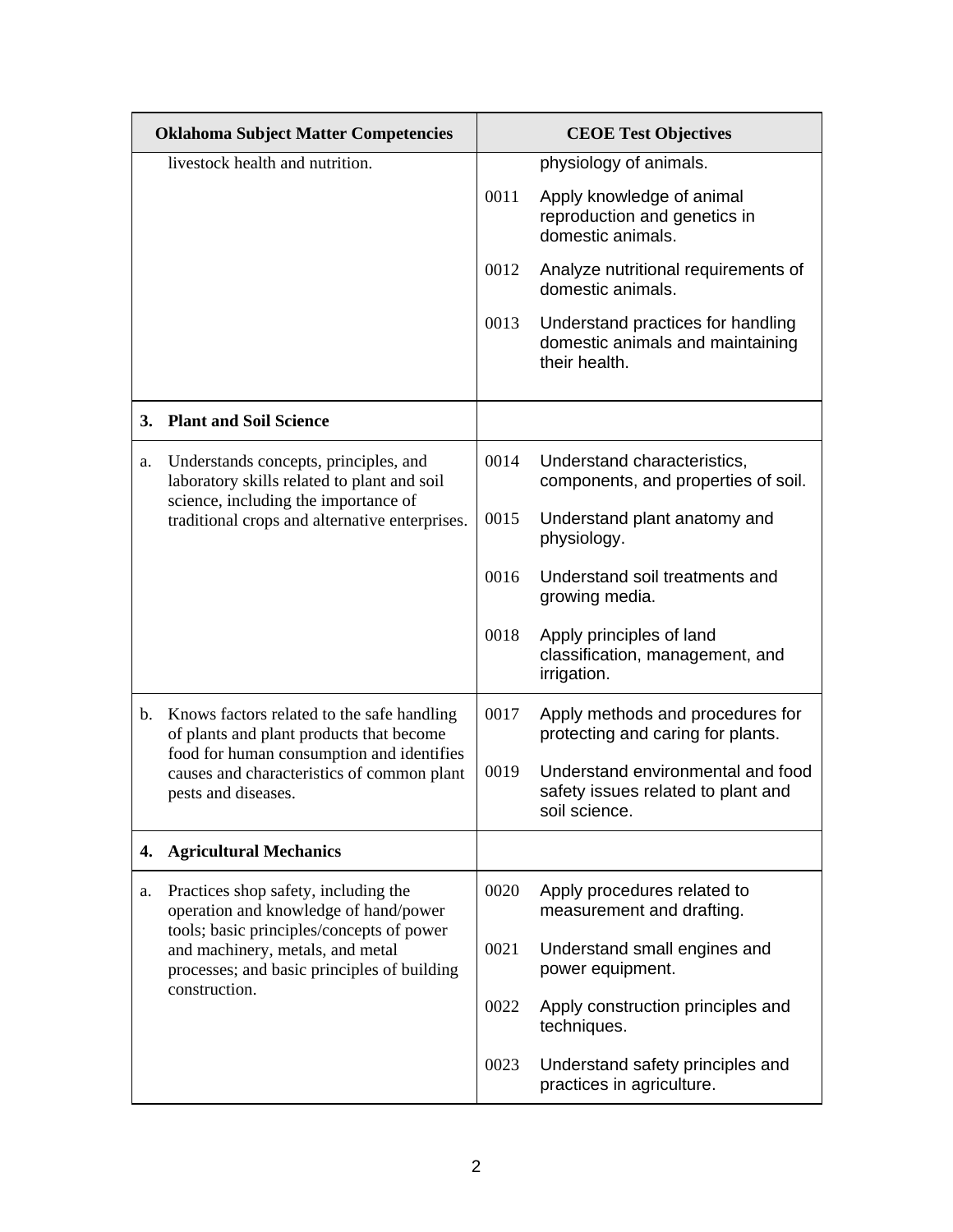| <b>Oklahoma Subject Matter Competencies</b> |                                                                                                                                                                                                                                | <b>CEOE Test Objectives</b> |                                                                                          |
|---------------------------------------------|--------------------------------------------------------------------------------------------------------------------------------------------------------------------------------------------------------------------------------|-----------------------------|------------------------------------------------------------------------------------------|
| livestock health and nutrition.             |                                                                                                                                                                                                                                |                             | physiology of animals.                                                                   |
|                                             |                                                                                                                                                                                                                                | 0011                        | Apply knowledge of animal<br>reproduction and genetics in<br>domestic animals.           |
|                                             |                                                                                                                                                                                                                                | 0012                        | Analyze nutritional requirements of<br>domestic animals.                                 |
|                                             |                                                                                                                                                                                                                                | 0013                        | Understand practices for handling<br>domestic animals and maintaining<br>their health.   |
|                                             | 3. Plant and Soil Science                                                                                                                                                                                                      |                             |                                                                                          |
| a.                                          | Understands concepts, principles, and<br>laboratory skills related to plant and soil<br>science, including the importance of                                                                                                   | 0014                        | Understand characteristics,<br>components, and properties of soil.                       |
|                                             | traditional crops and alternative enterprises.                                                                                                                                                                                 | 0015                        | Understand plant anatomy and<br>physiology.                                              |
|                                             |                                                                                                                                                                                                                                | 0016                        | Understand soil treatments and<br>growing media.                                         |
|                                             |                                                                                                                                                                                                                                | 0018                        | Apply principles of land<br>classification, management, and<br>irrigation.               |
| b.                                          | Knows factors related to the safe handling<br>of plants and plant products that become<br>food for human consumption and identifies<br>causes and characteristics of common plant<br>pests and diseases.                       | 0017                        | Apply methods and procedures for<br>protecting and caring for plants.                    |
|                                             |                                                                                                                                                                                                                                | 0019                        | Understand environmental and food<br>safety issues related to plant and<br>soil science. |
| 4.                                          | <b>Agricultural Mechanics</b>                                                                                                                                                                                                  |                             |                                                                                          |
| a.                                          | Practices shop safety, including the<br>operation and knowledge of hand/power<br>tools; basic principles/concepts of power<br>and machinery, metals, and metal<br>processes; and basic principles of building<br>construction. | 0020                        | Apply procedures related to<br>measurement and drafting.                                 |
|                                             |                                                                                                                                                                                                                                | 0021                        | Understand small engines and<br>power equipment.                                         |
|                                             |                                                                                                                                                                                                                                | 0022                        | Apply construction principles and<br>techniques.                                         |
|                                             |                                                                                                                                                                                                                                | 0023                        | Understand safety principles and<br>practices in agriculture.                            |